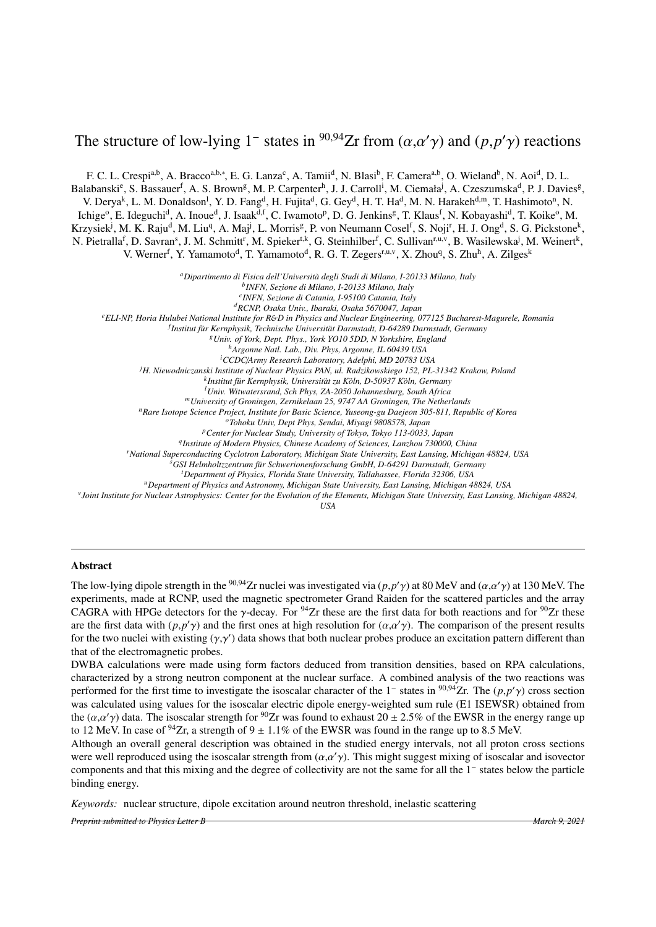## The structure of low-lying 1<sup>-</sup> states in <sup>90,94</sup>Zr from  $(\alpha, \alpha' \gamma)$  and  $(p, p' \gamma)$  reactions

F. C. L. Crespi<sup>a,b</sup>, A. Bracco<sup>a,b,\*</sup>, E. G. Lanza<sup>c</sup>, A. Tamii<sup>d</sup>, N. Blasi<sup>b</sup>, F. Camera<sup>a,b</sup>, O. Wieland<sup>b</sup>, N. Aoi<sup>d</sup>, D. L.

Balabanski<sup>e</sup>, S. Bassauer<sup>f</sup>, A. S. Brown<sup>g</sup>, M. P. Carpenter<sup>h</sup>, J. J. Carroll<sup>i</sup>, M. Ciemała<sup>j</sup>, A. Czeszumska<sup>d</sup>, P. J. Davies<sup>g</sup>,

V. Derya<sup>k</sup>, L. M. Donaldson<sup>1</sup>, Y. D. Fang<sup>d</sup>, H. Fujita<sup>d</sup>, G. Gey<sup>d</sup>, H. T. Ha<sup>d</sup>, M. N. Harakeh<sup>d,m</sup>, T. Hashimoto<sup>n</sup>, N.

Ichige<sup>o</sup>, E. Ideguchi<sup>d</sup>, A. Inoue<sup>d</sup>, J. Isaak<sup>d,f</sup>, C. Iwamoto<sup>p</sup>, D. G. Jenkins<sup>g</sup>, T. Klaus<sup>f</sup>, N. Kobayashi<sup>d</sup>, T. Koike<sup>o</sup>, M.

Krzysiek<sup>j</sup>, M. K. Raju<sup>d</sup>, M. Liu<sup>q</sup>, A. Maj<sup>j</sup>, L. Morris<sup>g</sup>, P. von Neumann Cosel<sup>f</sup>, S. Noji<sup>r</sup>, H. J. Ong<sup>d</sup>, S. G. Pickstone<sup>k</sup>,

N. Pietralla<sup>f</sup>, D. Savran<sup>s</sup>, J. M. Schmitt<sup>r</sup>, M. Spieker<sup>t,k</sup>, G. Steinhilber<sup>f</sup>, C. Sullivan<sup>r,u,v</sup>, B. Wasilewska<sup>j</sup>, M. Weinert<sup>k</sup>,

V. Werner<sup>f</sup>, Y. Yamamoto<sup>d</sup>, T. Yamamoto<sup>d</sup>, R. G. T. Zegers<sup>r,u,v</sup>, X. Zhou<sup>q</sup>, S. Zhu<sup>h</sup>, A. Zilges<sup>k</sup>

*<sup>a</sup>Dipartimento di Fisica dell'Universit`a degli Studi di Milano, I-20133 Milano, Italy*

*b INFN, Sezione di Milano, I-20133 Milano, Italy*

*c INFN, Sezione di Catania, I-95100 Catania, Italy*

*<sup>d</sup>RCNP, Osaka Univ., Ibaraki, Osaka 5670047, Japan*

*<sup>e</sup>ELI-NP, Horia Hulubei National Institute for R*&*D in Physics and Nuclear Engineering, 077125 Bucharest-Magurele, Romania*

<sup>f</sup> Institut für Kernphysik, Technische Universität Darmstadt, D-64289 Darmstadt, Germany

*<sup>g</sup>Univ. of York, Dept. Phys., York YO10 5DD, N Yorkshire, England*

*<sup>h</sup>Argonne Natl. Lab., Div. Phys, Argonne, IL 60439 USA <sup>i</sup>CCDC*/*Army Research Laboratory, Adelphi, MD 20783 USA*

*<sup>j</sup>H. Niewodniczanski Institute of Nuclear Physics PAN, ul. Radzikowskiego 152, PL-31342 Krakow, Poland*

<sup>k</sup>Institut für Kernphysik, Universität zu Köln, D-50937 Köln, Germany

*<sup>l</sup>Univ. Witwatersrand, Sch Phys, ZA-2050 Johannesburg, South Africa*

*<sup>m</sup>University of Groningen, Zernikelaan 25, 9747 AA Groningen, The Netherlands*

*<sup>n</sup>Rare Isotope Science Project, Institute for Basic Science, Yuseong-gu Daejeon 305-811, Republic of Korea*

*<sup>o</sup>Tohoku Univ, Dept Phys, Sendai, Miyagi 9808578, Japan*

*<sup>p</sup>Center for Nuclear Study, University of Tokyo, Tokyo 113-0033, Japan*

*q Institute of Modern Physics, Chinese Academy of Sciences, Lanzhou 730000, China*

*<sup>r</sup>National Superconducting Cyclotron Laboratory, Michigan State University, East Lansing, Michigan 48824, USA*

*<sup>s</sup>GSI Helmholtzzentrum fur Schwerionenforschung GmbH, D-64291 Darmstadt, Germany* ¨

*<sup>t</sup>Department of Physics, Florida State University, Tallahassee, Florida 32306, USA*

*<sup>u</sup>Department of Physics and Astronomy, Michigan State University, East Lansing, Michigan 48824, USA*

*v Joint Institute for Nuclear Astrophysics: Center for the Evolution of the Elements, Michigan State University, East Lansing, Michigan 48824,*

*USA*

## Abstract

The low-lying dipole strength in the <sup>90,94</sup>Zr nuclei was investigated via  $(p, p' \gamma)$  at 80 MeV and  $(\alpha, \alpha' \gamma)$  at 130 MeV. The experiments, made at RCNP used the magnetic spectrometer Grand Raiden for the scattered partic experiments, made at RCNP, used the magnetic spectrometer Grand Raiden for the scattered particles and the array CAGRA with HPGe detectors for the  $\gamma$ -decay. For <sup>94</sup>Zr these are the first data for both reactions and for <sup>90</sup>Zr these are the first data with  $(p, p' \gamma)$  and the first ones at high resolution for  $(\alpha, \alpha' \gamma)$ . The comparison of the present results for the two nuclei with existing  $(\alpha, \alpha')$  data shows that both nuclear probes produce an excit for the two nuclei with existing  $(\gamma, \gamma')$  data shows that both nuclear probes produce an excitation pattern different than<br>that of the electromagnetic probes that of the electromagnetic probes.

DWBA calculations were made using form factors deduced from transition densities, based on RPA calculations, characterized by a strong neutron component at the nuclear surface. A combined analysis of the two reactions was performed for the first time to investigate the isoscalar character of the 1<sup>-</sup> states in <sup>90,94</sup>Zr. The  $(p, p' \gamma)$  cross section<br>was calculated using values for the isoscalar electric dipole energy-weighted sum rule (E1 I was calculated using values for the isoscalar electric dipole energy-weighted sum rule (E1 ISEWSR) obtained from the  $(\alpha, \alpha')$  data. The isoscalar strength for <sup>90</sup>Zr was found to exhaust  $20 \pm 2.5\%$  of the EWSR in the energy range up<br>to 12 MeV. In case of <sup>94</sup>Zr, a strength of  $9 + 1.1\%$  of the EWSR was found in the range up to 8.5 to 12 MeV. In case of <sup>94</sup>Zr, a strength of 9  $\pm$  1.1% of the EWSR was found in the range up to 8.5 MeV.

Although an overall general description was obtained in the studied energy intervals, not all proton cross sections were well reproduced using the isoscalar strength from  $(\alpha, \alpha' \gamma)$ . This might suggest mixing of isoscalar and isovector components and that this mixing and the degree of collectivity are not the same for all the 1<sup>-</sup> sta components and that this mixing and the degree of collectivity are not the same for all the 1<sup>−</sup> states below the particle binding energy.

*Keywords:* nuclear structure, dipole excitation around neutron threshold, inelastic scattering

*Preprint submitted to Physics Letter B March 9, 2021*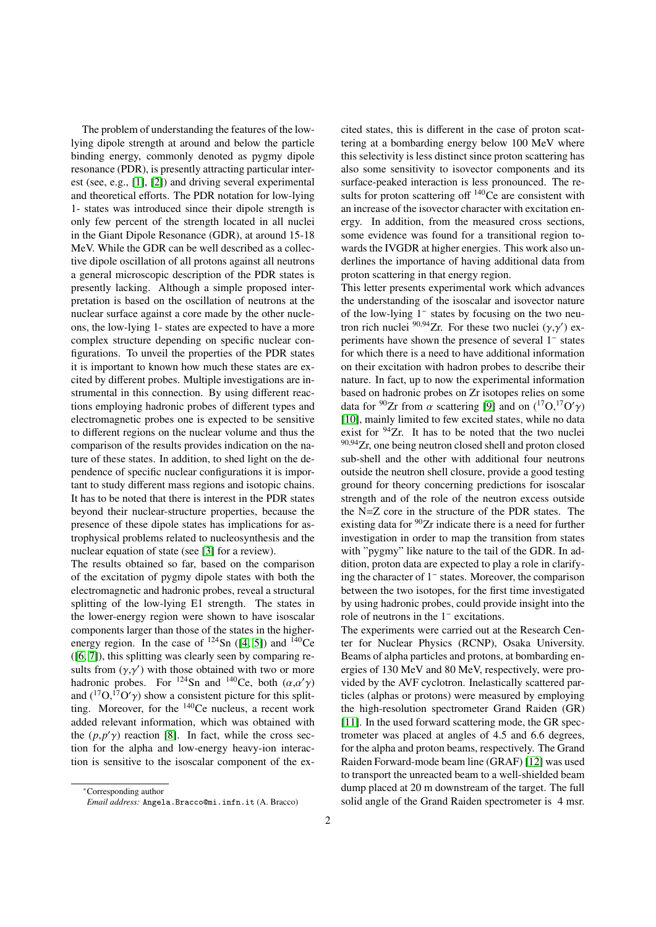The problem of understanding the features of the lowlying dipole strength at around and below the particle binding energy, commonly denoted as pygmy dipole resonance (PDR), is presently attracting particular interest (see, e.g., [\[1\]](#page-8-0), [\[2\]](#page-8-1)) and driving several experimental and theoretical efforts. The PDR notation for low-lying 1- states was introduced since their dipole strength is only few percent of the strength located in all nuclei in the Giant Dipole Resonance (GDR), at around 15-18 MeV. While the GDR can be well described as a collective dipole oscillation of all protons against all neutrons a general microscopic description of the PDR states is presently lacking. Although a simple proposed interpretation is based on the oscillation of neutrons at the nuclear surface against a core made by the other nucleons, the low-lying 1- states are expected to have a more complex structure depending on specific nuclear configurations. To unveil the properties of the PDR states it is important to known how much these states are excited by different probes. Multiple investigations are instrumental in this connection. By using different reactions employing hadronic probes of different types and electromagnetic probes one is expected to be sensitive to different regions on the nuclear volume and thus the comparison of the results provides indication on the nature of these states. In addition, to shed light on the dependence of specific nuclear configurations it is important to study different mass regions and isotopic chains. It has to be noted that there is interest in the PDR states beyond their nuclear-structure properties, because the presence of these dipole states has implications for astrophysical problems related to nucleosynthesis and the nuclear equation of state (see [\[3\]](#page-8-2) for a review).

The results obtained so far, based on the comparison of the excitation of pygmy dipole states with both the electromagnetic and hadronic probes, reveal a structural splitting of the low-lying E1 strength. The states in the lower-energy region were shown to have isoscalar components larger than those of the states in the higherenergy region. In the case of  $124$ Sn ([\[4,](#page-8-3) [5\]](#page-8-4)) and  $140$ Ce ([\[6,](#page-8-5) [7\]](#page-8-6)), this splitting was clearly seen by comparing results from  $(\gamma, \gamma')$  with those obtained with two or more<br>hadronic probes. For  $^{124}$ Sn and  $^{140}$ Ce both  $(\alpha, \alpha')$ hadronic probes. For <sup>124</sup>Sn and <sup>140</sup>Ce, both  $(\alpha, \alpha')$ <br>and  $(\alpha^{17}O^{17}O')$  show a consistent picture for this splitand  $({}^{17}O, {}^{17}O'\gamma)$  show a consistent picture for this split-<br>ting Moreover, for the  ${}^{140}Ce$  nucleus, a recent work ting. Moreover, for the <sup>140</sup>Ce nucleus, a recent work added relevant information, which was obtained with the  $(p, p' \gamma)$  reaction [\[8\]](#page-8-7). In fact, while the cross sec-<br>tion for the alpha and low-energy heavy-jon interaction for the alpha and low-energy heavy-ion interaction is sensitive to the isoscalar component of the excited states, this is different in the case of proton scattering at a bombarding energy below 100 MeV where this selectivity is less distinct since proton scattering has also some sensitivity to isovector components and its surface-peaked interaction is less pronounced. The results for proton scattering off <sup>140</sup>Ce are consistent with an increase of the isovector character with excitation energy. In addition, from the measured cross sections, some evidence was found for a transitional region towards the IVGDR at higher energies. This work also underlines the importance of having additional data from proton scattering in that energy region.

This letter presents experimental work which advances the understanding of the isoscalar and isovector nature of the low-lying 1<sup>−</sup> states by focusing on the two neutron rich nuclei <sup>90,94</sup>Zr. For these two nuclei  $(\gamma, \gamma')$  ex-<br>periments have shown the presence of several 1<sup>-</sup> states periments have shown the presence of several 1<sup>-</sup> states for which there is a need to have additional information on their excitation with hadron probes to describe their nature. In fact, up to now the experimental information based on hadronic probes on Zr isotopes relies on some data for <sup>90</sup>Zr from  $\alpha$  scattering [\[9\]](#page-8-8) and on  $({}^{17}O,{}^{17}O'\gamma)$ <br>[10] mainly limited to few excited states, while no data [\[10\]](#page-8-9), mainly limited to few excited states, while no data exist for  $94$ Zr. It has to be noted that the two nuclei 90,94 Zr, one being neutron closed shell and proton closed sub-shell and the other with additional four neutrons outside the neutron shell closure, provide a good testing ground for theory concerning predictions for isoscalar strength and of the role of the neutron excess outside the N=Z core in the structure of the PDR states. The existing data for  $90Zr$  indicate there is a need for further investigation in order to map the transition from states with "pygmy" like nature to the tail of the GDR. In addition, proton data are expected to play a role in clarifying the character of 1<sup>−</sup> states. Moreover, the comparison between the two isotopes, for the first time investigated by using hadronic probes, could provide insight into the role of neutrons in the 1<sup>−</sup> excitations.

The experiments were carried out at the Research Center for Nuclear Physics (RCNP), Osaka University. Beams of alpha particles and protons, at bombarding energies of 130 MeV and 80 MeV, respectively, were provided by the AVF cyclotron. Inelastically scattered particles (alphas or protons) were measured by employing the high-resolution spectrometer Grand Raiden (GR) [\[11\]](#page-8-10). In the used forward scattering mode, the GR spectrometer was placed at angles of 4.5 and 6.6 degrees, for the alpha and proton beams, respectively. The Grand Raiden Forward-mode beam line (GRAF) [\[12\]](#page-8-11) was used to transport the unreacted beam to a well-shielded beam dump placed at 20 m downstream of the target. The full solid angle of the Grand Raiden spectrometer is 4 msr.

<sup>∗</sup>Corresponding author

*Email address:* Angela.Bracco@mi.infn.it (A. Bracco)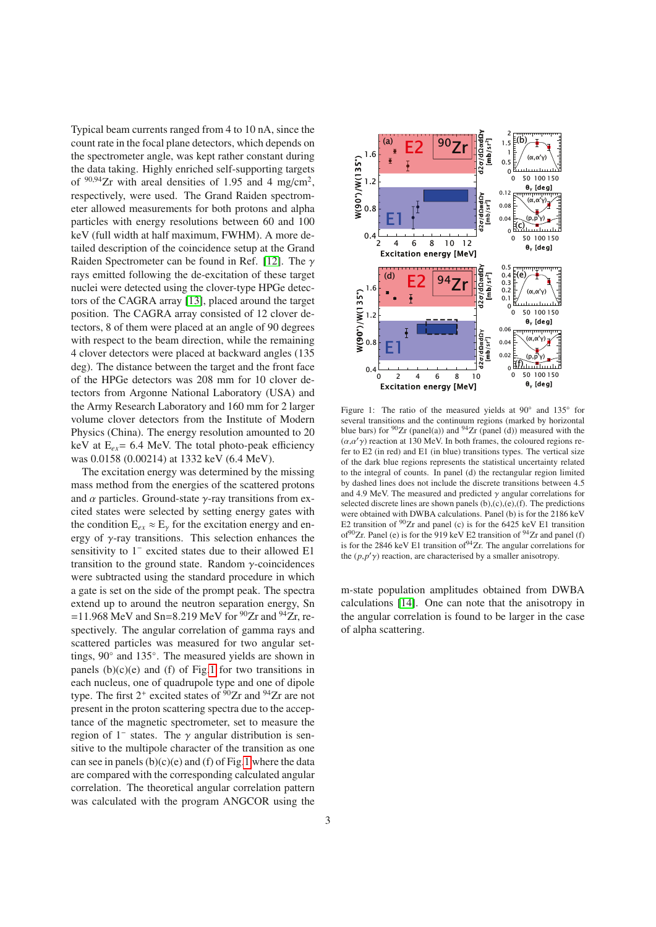Typical beam currents ranged from 4 to 10 nA, since the count rate in the focal plane detectors, which depends on the spectrometer angle, was kept rather constant during the data taking. Highly enriched self-supporting targets of  $90,94$ Zr with areal densities of 1.95 and 4 mg/cm<sup>2</sup>. respectively, were used. The Grand Raiden spectrometer allowed measurements for both protons and alpha particles with energy resolutions between 60 and 100 keV (full width at half maximum, FWHM). A more detailed description of the coincidence setup at the Grand Raiden Spectrometer can be found in Ref. [\[12\]](#page-8-11). The  $\gamma$ rays emitted following the de-excitation of these target nuclei were detected using the clover-type HPGe detectors of the CAGRA array [\[13\]](#page-8-12), placed around the target position. The CAGRA array consisted of 12 clover detectors, 8 of them were placed at an angle of 90 degrees with respect to the beam direction, while the remaining 4 clover detectors were placed at backward angles (135 deg). The distance between the target and the front face of the HPGe detectors was 208 mm for 10 clover detectors from Argonne National Laboratory (USA) and the Army Research Laboratory and 160 mm for 2 larger volume clover detectors from the Institute of Modern Physics (China). The energy resolution amounted to 20 keV at E*ex*= 6.4 MeV. The total photo-peak efficiency was 0.0158 (0.00214) at 1332 keV (6.4 MeV).

The excitation energy was determined by the missing mass method from the energies of the scattered protons and  $\alpha$  particles. Ground-state  $\gamma$ -ray transitions from excited states were selected by setting energy gates with the condition  $E_{ex} \approx E_{\gamma}$  for the excitation energy and energy of  $\gamma$ -ray transitions. This selection enhances the sensitivity to 1<sup>−</sup> excited states due to their allowed E1 transition to the ground state. Random  $\gamma$ -coincidences were subtracted using the standard procedure in which a gate is set on the side of the prompt peak. The spectra extend up to around the neutron separation energy, Sn =11.968 MeV and Sn=8.219 MeV for  $^{90}Zr$  and  $^{94}Zr$ , respectively. The angular correlation of gamma rays and scattered particles was measured for two angular settings, 90◦ and 135◦. The measured yields are shown in panels  $(b)(c)(e)$  and  $(f)$  of Fig[.1](#page-2-0) for two transitions in each nucleus, one of quadrupole type and one of dipole type. The first  $2^+$  excited states of  $90Zr$  and  $94Zr$  are not present in the proton scattering spectra due to the acceptance of the magnetic spectrometer, set to measure the region of  $1^-$  states. The  $\gamma$  angular distribution is sensitive to the multipole character of the transition as one can see in panels  $(b)(c)(e)$  and  $(f)$  of Fig[.1](#page-2-0) where the data are compared with the corresponding calculated angular correlation. The theoretical angular correlation pattern was calculated with the program ANGCOR using the



<span id="page-2-0"></span>Figure 1: The ratio of the measured yields at 90◦ and 135◦ for several transitions and the continuum regions (marked by horizontal blue bars) for  $90Zr$  (panel(a)) and  $94Zr$  (panel (d)) measured with the  $(\alpha, \alpha' \gamma)$  reaction at 130 MeV. In both frames, the coloured regions refer to E2 (in red) and E1 (in blue) transitions types. The vertical size of the dark blue regions represents the statistical uncertainty related to the integral of counts. In panel (d) the rectangular region limited by dashed lines does not include the discrete transitions between 4.5 and 4.9 MeV. The measured and predicted  $\gamma$  angular correlations for selected discrete lines are shown panels  $(b)$ , $(c)$ , $(e)$ , $(f)$ . The predictions were obtained with DWBA calculations. Panel (b) is for the 2186 keV E2 transition of  $90Zr$  and panel (c) is for the 6425 keV E1 transition of<sup>90</sup>Zr. Panel (e) is for the 919 keV E2 transition of <sup>94</sup>Zr and panel (f) is for the 2846 keV E1 transition of  $94$ Zr. The angular correlations for the  $(p, p'$ <sub> $\gamma$ </sub>) reaction, are characterised by a smaller anisotropy.

m-state population amplitudes obtained from DWBA calculations [\[14\]](#page-8-13). One can note that the anisotropy in the angular correlation is found to be larger in the case of alpha scattering.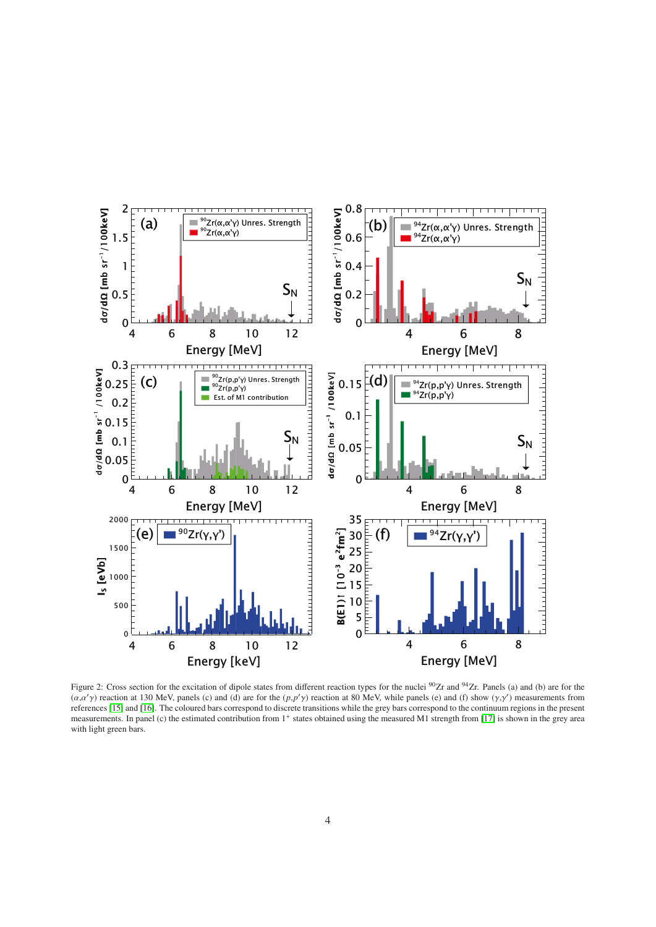

<span id="page-3-0"></span>Figure 2: Cross section for the excitation of dipole states from different reaction types for the nuclei <sup>90</sup>Zr and <sup>94</sup>Zr. Panels (a) and (b) are for the  $(\alpha, \alpha' \gamma)$  reaction at 130 MeV, panels (c) and (d) are for the  $(p, p' \gamma)$  reaction at 80 MeV, while panels (e) and (f) show  $(\gamma, \gamma')$  measurements from references [\[15\]](#page-8-14) and [\[16\]](#page-8-15). The coloured bars correspond to discrete transitions while the grey bars correspond to the continuum regions in the present measurements. In panel (c) the estimated contribution from 1<sup>+</sup> states obtained using the measured M1 strength from [\[17\]](#page-8-16) is shown in the grey area with light green bars.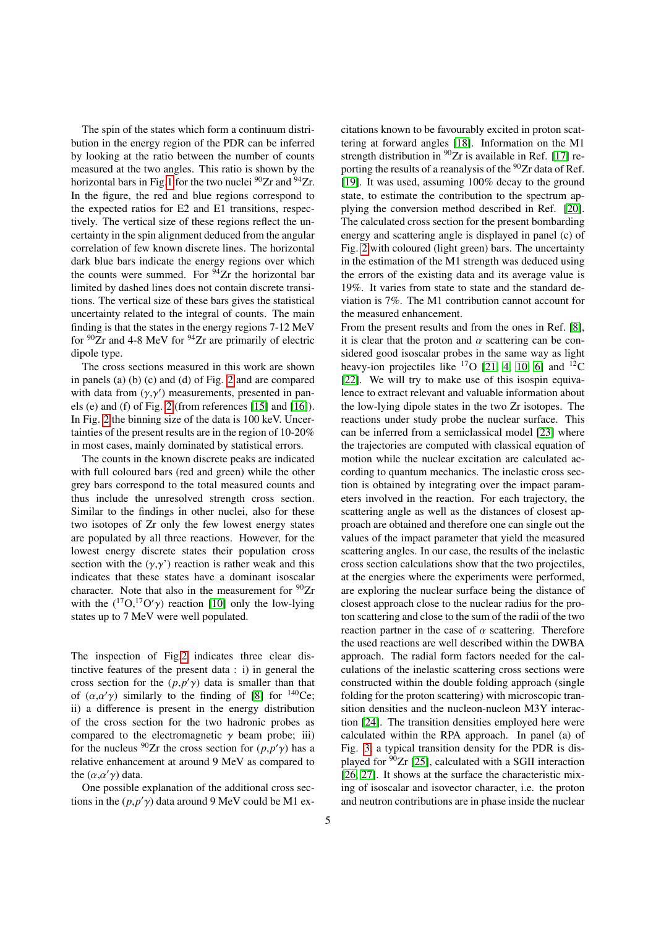The spin of the states which form a continuum distribution in the energy region of the PDR can be inferred by looking at the ratio between the number of counts measured at the two angles. This ratio is shown by the horizontal bars in Fig[.1](#page-2-0) for the two nuclei  $90Zr$  and  $94Zr$ . In the figure, the red and blue regions correspond to the expected ratios for E2 and E1 transitions, respectively. The vertical size of these regions reflect the uncertainty in the spin alignment deduced from the angular correlation of few known discrete lines. The horizontal dark blue bars indicate the energy regions over which the counts were summed. For  $94Zr$  the horizontal bar limited by dashed lines does not contain discrete transitions. The vertical size of these bars gives the statistical uncertainty related to the integral of counts. The main finding is that the states in the energy regions 7-12 MeV for  $90Zr$  and 4-8 MeV for  $94Zr$  are primarily of electric dipole type.

The cross sections measured in this work are shown in panels (a) (b) (c) and (d) of Fig. [2](#page-3-0) and are compared with data from  $(\gamma, \gamma')$  measurements, presented in pan-<br>els (e) and (f) of Fig. 2 (from references [15] and [16]) els (e) and (f) of Fig. [2](#page-3-0) (from references [\[15\]](#page-8-14) and [\[16\]](#page-8-15)). In Fig. [2](#page-3-0) the binning size of the data is 100 keV. Uncertainties of the present results are in the region of 10-20% in most cases, mainly dominated by statistical errors.

The counts in the known discrete peaks are indicated with full coloured bars (red and green) while the other grey bars correspond to the total measured counts and thus include the unresolved strength cross section. Similar to the findings in other nuclei, also for these two isotopes of Zr only the few lowest energy states are populated by all three reactions. However, for the lowest energy discrete states their population cross section with the  $(\gamma, \gamma')$  reaction is rather weak and this indicates that these states have a dominant isoscalar character. Note that also in the measurement for  $90Zr$ with the  $(^{17}O, ^{17}O^{\prime}\gamma)$  reaction [\[10\]](#page-8-9) only the low-lying<br>states up to 7 MeV were well populated states up to 7 MeV were well populated.

The inspection of Fig[.2](#page-3-0) indicates three clear distinctive features of the present data : i) in general the cross section for the  $(p, p' \gamma)$  data is smaller than that<br>of  $(\alpha, \alpha' \gamma)$  similarly to the finding of [8] for <sup>140</sup>Ce of  $(\alpha, \alpha' \gamma)$  similarly to the finding of [\[8\]](#page-8-7) for <sup>140</sup>Ce;<br>ii) a difference is present in the energy distribution ii) a difference is present in the energy distribution of the cross section for the two hadronic probes as compared to the electromagnetic  $\gamma$  beam probe; iii) for the nucleus <sup>90</sup>Zr the cross section for  $(p, p' \gamma)$  has a relative enhancement at around 9 MeV as compared to relative enhancement at around 9 MeV as compared to the  $(\alpha,\alpha'\gamma)$  data.<br>One possible

One possible explanation of the additional cross sections in the  $(p, p' \gamma)$  data around 9 MeV could be M1 excitations known to be favourably excited in proton scattering at forward angles [\[18\]](#page-8-17). Information on the M1 strength distribution in  $90Zr$  is available in Ref. [\[17\]](#page-8-16) reporting the results of a reanalysis of the  $90Zr$  data of Ref. [\[19\]](#page-8-18). It was used, assuming 100% decay to the ground state, to estimate the contribution to the spectrum applying the conversion method described in Ref. [\[20\]](#page-8-19). The calculated cross section for the present bombarding energy and scattering angle is displayed in panel (c) of Fig. [2](#page-3-0) with coloured (light green) bars. The uncertainty in the estimation of the M1 strength was deduced using the errors of the existing data and its average value is 19%. It varies from state to state and the standard deviation is 7%. The M1 contribution cannot account for the measured enhancement.

From the present results and from the ones in Ref. [\[8\]](#page-8-7), it is clear that the proton and  $\alpha$  scattering can be considered good isoscalar probes in the same way as light heavy-ion projectiles like  $^{17}O$  [\[21,](#page-8-20) [4,](#page-8-3) [10,](#page-8-9) [6\]](#page-8-5) and  $^{12}C$ [\[22\]](#page-8-21). We will try to make use of this isospin equivalence to extract relevant and valuable information about the low-lying dipole states in the two Zr isotopes. The reactions under study probe the nuclear surface. This can be inferred from a semiclassical model [\[23\]](#page-8-22) where the trajectories are computed with classical equation of motion while the nuclear excitation are calculated according to quantum mechanics. The inelastic cross section is obtained by integrating over the impact parameters involved in the reaction. For each trajectory, the scattering angle as well as the distances of closest approach are obtained and therefore one can single out the values of the impact parameter that yield the measured scattering angles. In our case, the results of the inelastic cross section calculations show that the two projectiles, at the energies where the experiments were performed, are exploring the nuclear surface being the distance of closest approach close to the nuclear radius for the proton scattering and close to the sum of the radii of the two reaction partner in the case of  $\alpha$  scattering. Therefore the used reactions are well described within the DWBA approach. The radial form factors needed for the calculations of the inelastic scattering cross sections were constructed within the double folding approach (single folding for the proton scattering) with microscopic transition densities and the nucleon-nucleon M3Y interaction [\[24\]](#page-8-23). The transition densities employed here were calculated within the RPA approach. In panel (a) of Fig. [3,](#page-5-0) a typical transition density for the PDR is displayed for  $90Zr$  [\[25\]](#page-8-24), calculated with a SGII interaction [\[26,](#page-8-25) [27\]](#page-8-26). It shows at the surface the characteristic mixing of isoscalar and isovector character, i.e. the proton and neutron contributions are in phase inside the nuclear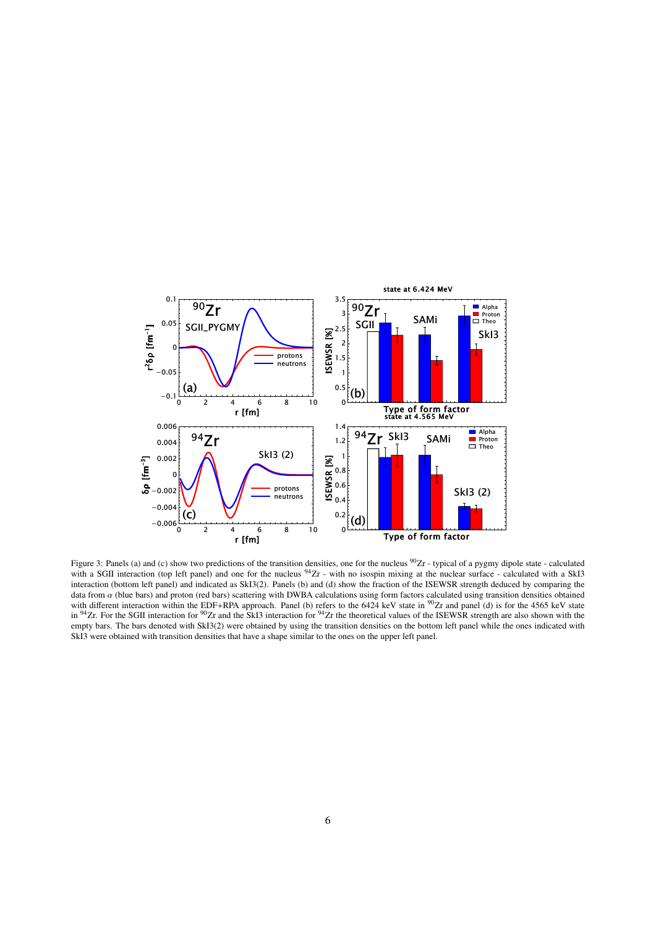

<span id="page-5-0"></span>Figure 3: Panels (a) and (c) show two predictions of the transition densities, one for the nucleus <sup>90</sup>Zr - typical of a pygmy dipole state - calculated with a SGII interaction (top left panel) and one for the nucleus  $94Zr$  - with no isospin mixing at the nuclear surface - calculated with a SkI3 interaction (bottom left panel) and indicated as SkI3(2). Panels (b) and (d) show the fraction of the ISEWSR strength deduced by comparing the data from  $\alpha$  (blue bars) and proton (red bars) scattering with DWBA calculations using form factors calculated using transition densities obtained<br>with different interaction within the EDF+RPA approach. Panel (b) refers in  $94Zr$ . For the SGII interaction for  $90Zr$  and the SkI3 interaction for  $94Zr$  the theoretical values of the ISEWSR strength are also shown with the empty bars. The bars denoted with SkI3(2) were obtained by using the transition densities on the bottom left panel while the ones indicated with SkI3 were obtained with transition densities that have a shape similar to the ones on the upper left panel.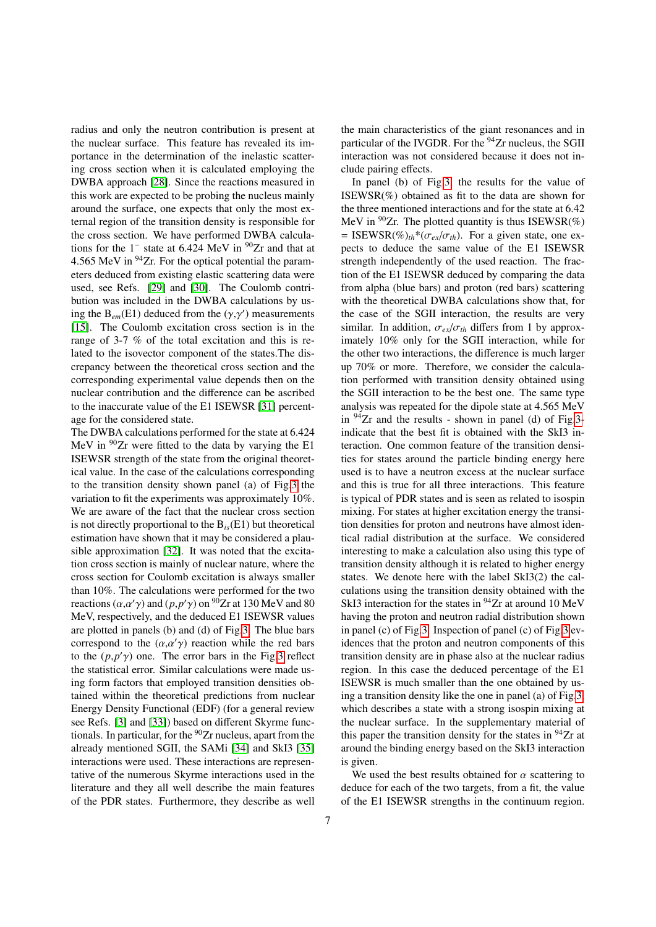radius and only the neutron contribution is present at the nuclear surface. This feature has revealed its importance in the determination of the inelastic scattering cross section when it is calculated employing the DWBA approach [\[28\]](#page-8-27). Since the reactions measured in this work are expected to be probing the nucleus mainly around the surface, one expects that only the most external region of the transition density is responsible for the cross section. We have performed DWBA calculations for the  $1^-$  state at 6.424 MeV in  $90Zr$  and that at 4.565 MeV in  $94$ Zr. For the optical potential the parameters deduced from existing elastic scattering data were used, see Refs. [\[29\]](#page-8-28) and [\[30\]](#page-8-29). The Coulomb contribution was included in the DWBA calculations by using the  $B_{em}(E1)$  deduced from the  $(\gamma, \gamma')$  measurements<br>[15] The Coulomb excitation cross section is in the [\[15\]](#page-8-14). The Coulomb excitation cross section is in the range of 3-7 % of the total excitation and this is related to the isovector component of the states.The discrepancy between the theoretical cross section and the corresponding experimental value depends then on the nuclear contribution and the difference can be ascribed to the inaccurate value of the E1 ISEWSR [\[31\]](#page-8-30) percentage for the considered state.

The DWBA calculations performed for the state at 6.424 MeV in  $90Zr$  were fitted to the data by varying the E1 ISEWSR strength of the state from the original theoretical value. In the case of the calculations corresponding to the transition density shown panel (a) of Fig[.3](#page-5-0) the variation to fit the experiments was approximately 10%. We are aware of the fact that the nuclear cross section is not directly proportional to the  $B_i$ <sub>s</sub> $(E1)$  but theoretical estimation have shown that it may be considered a plausible approximation [\[32\]](#page-8-31). It was noted that the excitation cross section is mainly of nuclear nature, where the cross section for Coulomb excitation is always smaller than 10%. The calculations were performed for the two reactions  $(\alpha, \alpha' \gamma)$  and  $(p, p' \gamma)$  on <sup>90</sup>Zr at 130 MeV and 80<br>MeV respectively and the deduced E1 ISEWSR values MeV, respectively, and the deduced E1 ISEWSR values are plotted in panels (b) and (d) of Fig[.3.](#page-5-0) The blue bars correspond to the  $(\alpha, \alpha' \gamma)$  reaction while the red bars<br>to the  $(n, n' \gamma)$  one. The error bars in the Fig. 3 reflect to the  $(p, p' \gamma)$  one. The error bars in the Fig[.3](#page-5-0) reflect<br>the statistical error. Similar calculations were made usthe statistical error. Similar calculations were made using form factors that employed transition densities obtained within the theoretical predictions from nuclear Energy Density Functional (EDF) (for a general review see Refs. [\[3\]](#page-8-2) and [\[33\]](#page-8-32)) based on different Skyrme functionals. In particular, for the  $90Zr$  nucleus, apart from the already mentioned SGII, the SAMi [\[34\]](#page-8-33) and SkI3 [\[35\]](#page-8-34) interactions were used. These interactions are representative of the numerous Skyrme interactions used in the literature and they all well describe the main features of the PDR states. Furthermore, they describe as well

7

the main characteristics of the giant resonances and in particular of the IVGDR. For the  $94$ Zr nucleus, the SGII interaction was not considered because it does not include pairing effects.

In panel (b) of Fig[.3,](#page-5-0) the results for the value of  $ISEWSR(\%)$  obtained as fit to the data are shown for the three mentioned interactions and for the state at 6.42 MeV in  $90Zr$ . The plotted quantity is thus ISEWSR(%) = ISEWSR(%)<sub>th</sub>\*( $\sigma_{ex}/\sigma_{th}$ ). For a given state, one expects to deduce the same value of the E1 ISEWSR strength independently of the used reaction. The fraction of the E1 ISEWSR deduced by comparing the data from alpha (blue bars) and proton (red bars) scattering with the theoretical DWBA calculations show that, for the case of the SGII interaction, the results are very similar. In addition,  $\sigma_{ex}/\sigma_{th}$  differs from 1 by approximately 10% only for the SGII interaction, while for the other two interactions, the difference is much larger up 70% or more. Therefore, we consider the calculation performed with transition density obtained using the SGII interaction to be the best one. The same type analysis was repeated for the dipole state at 4.565 MeV in  $94$ Zr and the results - shown in panel (d) of Fig[.3](#page-5-0) indicate that the best fit is obtained with the SkI3 interaction. One common feature of the transition densities for states around the particle binding energy here used is to have a neutron excess at the nuclear surface and this is true for all three interactions. This feature is typical of PDR states and is seen as related to isospin mixing. For states at higher excitation energy the transition densities for proton and neutrons have almost identical radial distribution at the surface. We considered interesting to make a calculation also using this type of transition density although it is related to higher energy states. We denote here with the label SkI3(2) the calculations using the transition density obtained with the SkI3 interaction for the states in <sup>94</sup>Zr at around 10 MeV having the proton and neutron radial distribution shown in panel (c) of Fig[.3.](#page-5-0) Inspection of panel (c) of Fig[.3](#page-5-0) evidences that the proton and neutron components of this transition density are in phase also at the nuclear radius region. In this case the deduced percentage of the E1 ISEWSR is much smaller than the one obtained by using a transition density like the one in panel (a) of Fig[.3,](#page-5-0) which describes a state with a strong isospin mixing at the nuclear surface. In the supplementary material of this paper the transition density for the states in  $94$ Zr at around the binding energy based on the SkI3 interaction is given.

We used the best results obtained for  $\alpha$  scattering to deduce for each of the two targets, from a fit, the value of the E1 ISEWSR strengths in the continuum region.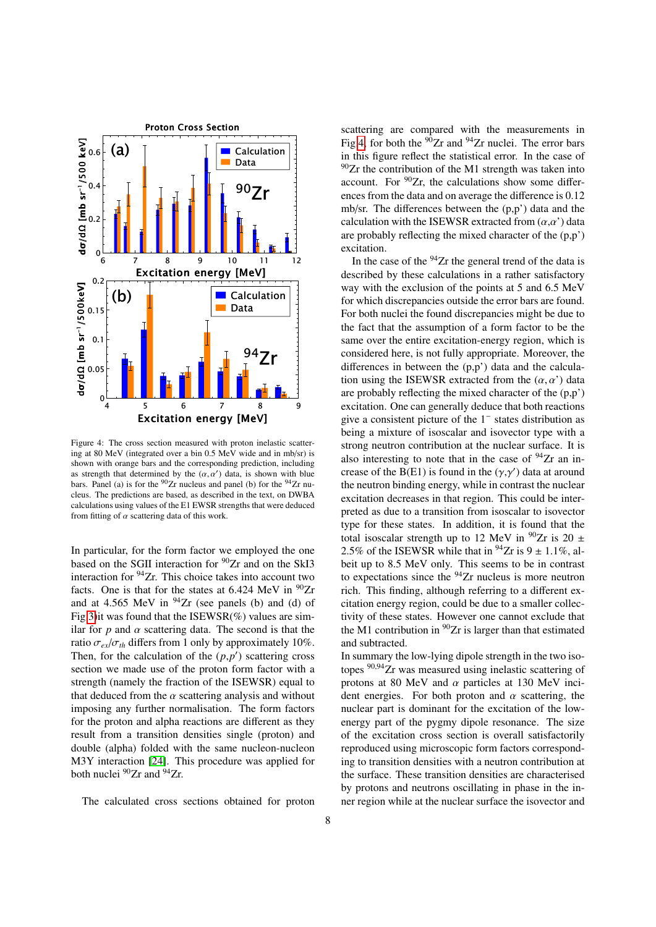

<span id="page-7-0"></span>Figure 4: The cross section measured with proton inelastic scattering at 80 MeV (integrated over a bin 0.5 MeV wide and in mb/sr) is shown with orange bars and the corresponding prediction, including as strength that determined by the  $(\alpha, \alpha')$  data, is shown with blue<br>hars. Panel (a) is for the <sup>90</sup>7r nucleus and panel (b) for the <sup>94</sup>7r nubars. Panel (a) is for the  $90Zr$  nucleus and panel (b) for the  $94Zr$  nucleus. The predictions are based, as described in the text, on DWBA calculations using values of the E1 EWSR strengths that were deduced from fitting of  $\alpha$  scattering data of this work.

In particular, for the form factor we employed the one based on the SGII interaction for  $90Zr$  and on the SkI3 interaction for <sup>94</sup>Zr. This choice takes into account two facts. One is that for the states at  $6.424$  MeV in  $90Zr$ and at 4.565 MeV in  $94$ Zr (see panels (b) and (d) of Fig[.3\)](#page-5-0) it was found that the  $ISEWSR(\%)$  values are similar for  $p$  and  $\alpha$  scattering data. The second is that the ratio  $\sigma_{ex}/\sigma_{th}$  differs from 1 only by approximately 10%. Then, for the calculation of the  $(p, p')$  scattering cross section we made use of the proton form factor with a strength (namely the fraction of the ISEWSR) equal to that deduced from the  $\alpha$  scattering analysis and without imposing any further normalisation. The form factors for the proton and alpha reactions are different as they result from a transition densities single (proton) and double (alpha) folded with the same nucleon-nucleon M3Y interaction [\[24\]](#page-8-23). This procedure was applied for both nuclei <sup>90</sup>Zr and <sup>94</sup>Zr.

The calculated cross sections obtained for proton

scattering are compared with the measurements in Fig[.4,](#page-7-0) for both the  $90Zr$  and  $94Zr$  nuclei. The error bars in this figure reflect the statistical error. In the case of  $90Zr$  the contribution of the M1 strength was taken into account. For  $90Zr$ , the calculations show some differences from the data and on average the difference is 0.12 mb/sr. The differences between the (p,p') data and the calculation with the ISEWSR extracted from  $(\alpha, \alpha')$  data are probably reflecting the mixed character of the (p,p') excitation.

In the case of the  $94$ Zr the general trend of the data is described by these calculations in a rather satisfactory way with the exclusion of the points at 5 and 6.5 MeV for which discrepancies outside the error bars are found. For both nuclei the found discrepancies might be due to the fact that the assumption of a form factor to be the same over the entire excitation-energy region, which is considered here, is not fully appropriate. Moreover, the differences in between the (p,p') data and the calculation using the ISEWSR extracted from the  $(\alpha, \alpha')$  data are probably reflecting the mixed character of the (p,p') excitation. One can generally deduce that both reactions give a consistent picture of the 1<sup>−</sup> states distribution as being a mixture of isoscalar and isovector type with a strong neutron contribution at the nuclear surface. It is also interesting to note that in the case of  $94Zr$  an increase of the B(E1) is found in the  $(\gamma, \gamma')$  data at around<br>the neutron binding energy, while in contrast the nuclear the neutron binding energy, while in contrast the nuclear excitation decreases in that region. This could be interpreted as due to a transition from isoscalar to isovector type for these states. In addition, it is found that the total isoscalar strength up to 12 MeV in  $^{90}Zr$  is 20  $\pm$ 2.5% of the ISEWSR while that in  $^{94}Zr$  is 9  $\pm$  1.1%, albeit up to 8.5 MeV only. This seems to be in contrast to expectations since the  $94$ Zr nucleus is more neutron rich. This finding, although referring to a different excitation energy region, could be due to a smaller collectivity of these states. However one cannot exclude that the M1 contribution in  ${}^{90}Zr$  is larger than that estimated and subtracted.

In summary the low-lying dipole strength in the two isotopes  $90,94$ Zr was measured using inelastic scattering of protons at 80 MeV and  $\alpha$  particles at 130 MeV incident energies. For both proton and  $\alpha$  scattering, the nuclear part is dominant for the excitation of the lowenergy part of the pygmy dipole resonance. The size of the excitation cross section is overall satisfactorily reproduced using microscopic form factors corresponding to transition densities with a neutron contribution at the surface. These transition densities are characterised by protons and neutrons oscillating in phase in the inner region while at the nuclear surface the isovector and